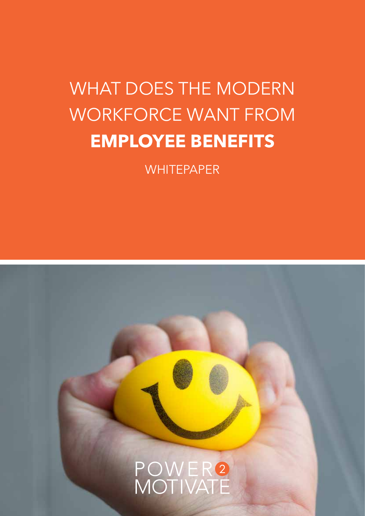## WHAT DOES THE MODERN WORKFORCE WANT FROM **EMPLOYEE BENEFITS**

**WHITEPAPER** 

### POWER2<br>MOTIVATE **1.**WHAT DOES THE MODERN WORKFOREC WANT FROM EMPLOYEE BENEFITS | power2motivate.com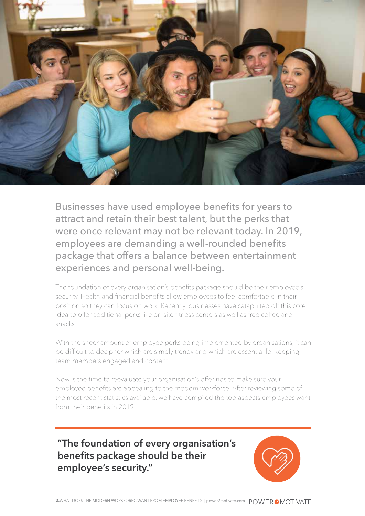

Businesses have used employee benefits for years to attract and retain their best talent, but the perks that were once relevant may not be relevant today. In 2019, employees are demanding a well-rounded benefits package that offers a balance between entertainment experiences and personal well-being.

The foundation of every organisation's benefits package should be their employee's security. Health and financial benefits allow employees to feel comfortable in their position so they can focus on work. Recently, businesses have catapulted off this core idea to offer additional perks like on-site fitness centers as well as free coffee and snacks.

With the sheer amount of employee perks being implemented by organisations, it can be difficult to decipher which are simply trendy and which are essential for keeping team members engaged and content.

Now is the time to reevaluate your organisation's offerings to make sure your employee benefits are appealing to the modern workforce. After reviewing some of the most recent statistics available, we have compiled the top aspects employees want from their benefits in 2019.

#### **"The foundation of every organisation's benefits package should be their employee's security."**

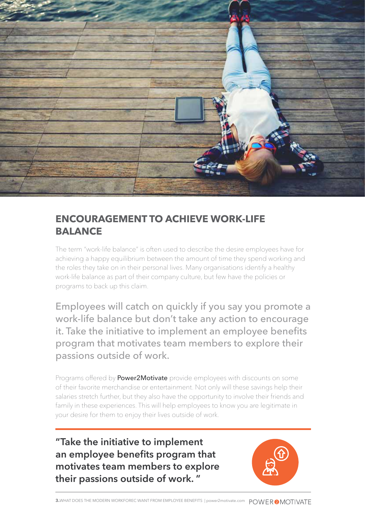

#### **ENCOURAGEMENT TO ACHIEVE WORK-LIFE BALANCE**

The term "work-life balance" is often used to describe the desire employees have for achieving a happy equilibrium between the amount of time they spend working and the roles they take on in their personal lives. Many organisations identify a healthy work-life balance as part of their company culture, but few have the policies or programs to back up this claim.

Employees will catch on quickly if you say you promote a work-life balance but don't take any action to encourage it. Take the initiative to implement an employee benefits program that motivates team members to explore their passions outside of work.

Programs offered by **Power2Motivate** provide employees with discounts on some of their favorite merchandise or entertainment. Not only will these savings help their salaries stretch further, but they also have the opportunity to involve their friends and family in these experiences. This will help employees to know you are legitimate in your desire for them to enjoy their lives outside of work.

**"Take the initiative to implement an employee benefits program that motivates team members to explore their passions outside of work. "**

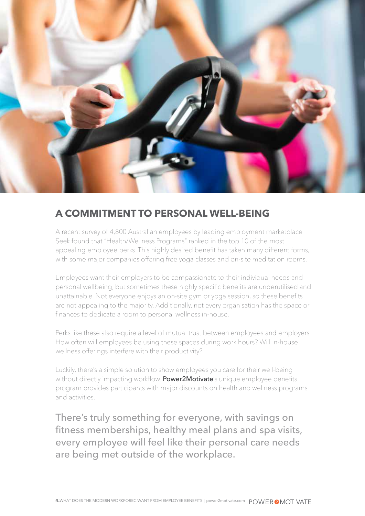

#### **A COMMITMENT TO PERSONAL WELL-BEING**

A recent survey of 4,800 Australian employees by leading employment marketplace Seek found that "Health/Wellness Programs" ranked in the top 10 of the most appealing employee perks. This highly desired benefit has taken many different forms, with some major companies offering free yoga classes and on-site meditation rooms.

Employees want their employers to be compassionate to their individual needs and personal wellbeing, but sometimes these highly specific benefits are underutilised and unattainable. Not everyone enjoys an on-site gym or yoga session, so these benefits are not appealing to the majority. Additionally, not every organisation has the space or finances to dedicate a room to personal wellness in-house.

Perks like these also require a level of mutual trust between employees and employers. How often will employees be using these spaces during work hours? Will in-house wellness offerings interfere with their productivity?

Luckily, there's a simple solution to show employees you care for their well-being without directly impacting workflow. Power2Motivate's unique employee benefits program provides participants with major discounts on health and wellness programs and activities.

There's truly something for everyone, with savings on fitness memberships, healthy meal plans and spa visits, every employee will feel like their personal care needs are being met outside of the workplace.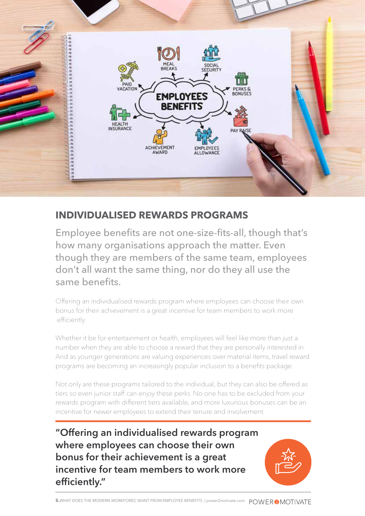

#### **INDIVIDUALISED REWARDS PROGRAMS**

Employee benefits are not one-size-fits-all, though that's how many organisations approach the matter. Even though they are members of the same team, employees don't all want the same thing, nor do they all use the same benefits.

Offering an individualised rewards program where employees can choose their own bonus for their achievement is a great incentive for team members to work more efficiently.

Whether it be for entertainment or health, employees will feel like more than just a number when they are able to choose a reward that they are personally interested in. And as younger generations are valuing experiences over material items, travel reward programs are becoming an increasingly popular inclusion to a benefits package.

Not only are these programs tailored to the individual, but they can also be offered as tiers so even junior staff can enjoy these perks. No one has to be excluded from your rewards program with different tiers available, and more luxurious bonuses can be an incentive for newer employees to extend their tenure and involvement.

**"Offering an individualised rewards program where employees can choose their own bonus for their achievement is a great incentive for team members to work more efficiently."**

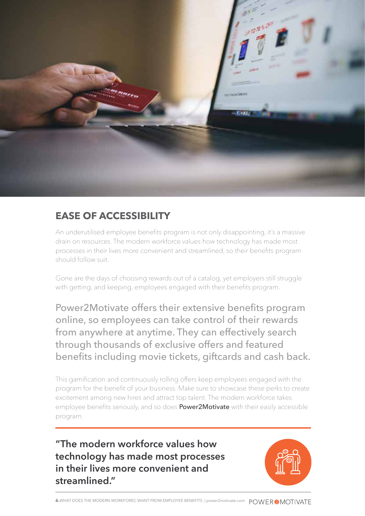

#### **EASE OF ACCESSIBILITY**

An underutilised employee benefits program is not only disappointing, it's a massive drain on resources. The modern workforce values how technology has made most processes in their lives more convenient and streamlined, so their benefits program should follow suit.

Gone are the days of choosing rewards out of a catalog, yet employers still struggle with getting, and keeping, employees engaged with their benefits program.

Power2Motivate offers their extensive benefits program online, so employees can take control of their rewards from anywhere at anytime. They can effectively search through thousands of exclusive offers and featured benefits including movie tickets, giftcards and cash back.

This gamification and continuously rolling offers keep employees engaged with the program for the benefit of your business. Make sure to showcase these perks to create excitement among new hires and attract top talent. The modern workforce takes employee benefits seriously, and so does **Power2Motivate** with their easily accessible program.

**"The modern workforce values how technology has made most processes in their lives more convenient and streamlined."**